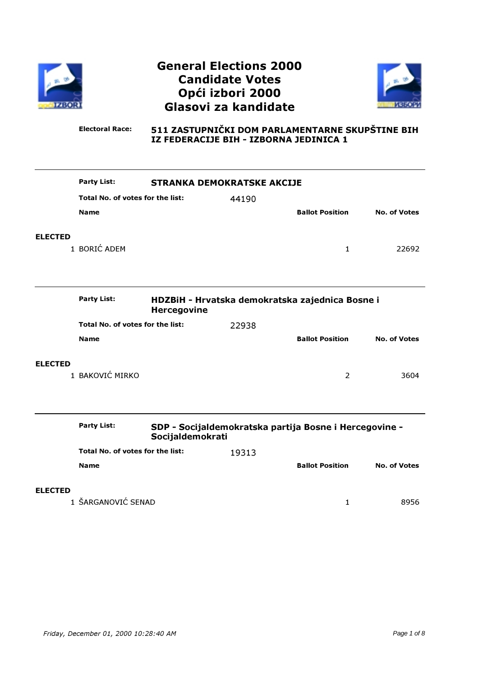



Electoral Race:

#### 511 ZASTUPNIČKI DOM PARLAMENTARNE SKUPŠTINE BIH IZ FEDERACIJE BIH - IZBORNA JEDINICA 1

|                | <b>Party List:</b>               | <b>STRANKA DEMOKRATSKE AKCIJE</b> |       |                                                 |                     |
|----------------|----------------------------------|-----------------------------------|-------|-------------------------------------------------|---------------------|
|                | Total No. of votes for the list: |                                   | 44190 |                                                 |                     |
|                | <b>Name</b>                      |                                   |       | <b>Ballot Position</b>                          | <b>No. of Votes</b> |
|                |                                  |                                   |       |                                                 |                     |
| <b>ELECTED</b> | 1 BORIĆ ADEM                     |                                   |       | 1                                               | 22692               |
|                |                                  |                                   |       |                                                 |                     |
|                |                                  |                                   |       |                                                 |                     |
|                | <b>Party List:</b>               | <b>Hercegovine</b>                |       | HDZBiH - Hrvatska demokratska zajednica Bosne i |                     |
|                | Total No. of votes for the list: |                                   | 22938 |                                                 |                     |
|                | <b>Name</b>                      |                                   |       | <b>Ballot Position</b>                          | <b>No. of Votes</b> |
| FL FATER       |                                  |                                   |       |                                                 |                     |

#### ELECTED

1 BAKOVIĆ MIRKO 2 3604

|                | <b>Party List:</b>               | SDP - Socijaldemokratska partija Bosne i Hercegovine -<br>Socijaldemokrati |                        |                     |  |
|----------------|----------------------------------|----------------------------------------------------------------------------|------------------------|---------------------|--|
|                | Total No. of votes for the list: | 19313                                                                      |                        |                     |  |
|                | <b>Name</b>                      |                                                                            | <b>Ballot Position</b> | <b>No. of Votes</b> |  |
| <b>ELECTED</b> |                                  |                                                                            |                        |                     |  |
|                | 1 ŠARGANOVIĆ SENAD               |                                                                            |                        | 8956                |  |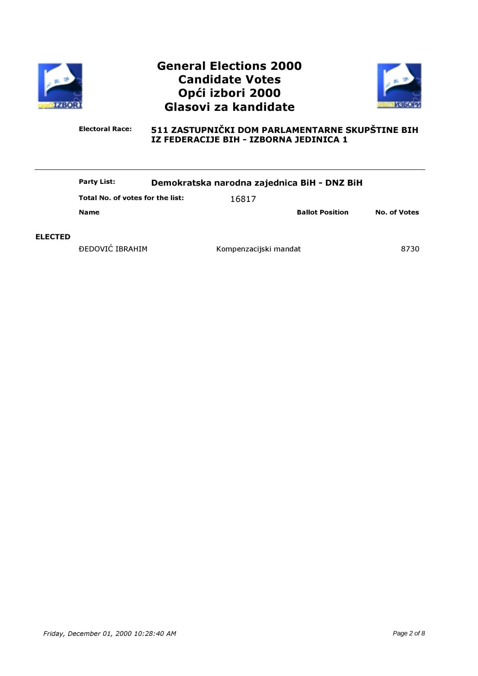



|                | <b>Party List:</b><br>Demokratska narodna zajednica BiH - DNZ BiH |  |                       |                        |                     |
|----------------|-------------------------------------------------------------------|--|-----------------------|------------------------|---------------------|
|                | Total No. of votes for the list:                                  |  | 16817                 |                        |                     |
|                | <b>Name</b>                                                       |  |                       | <b>Ballot Position</b> | <b>No. of Votes</b> |
| <b>ELECTED</b> |                                                                   |  |                       |                        |                     |
|                | ĐEDOVIĆ IBRAHIM                                                   |  | Kompenzacijski mandat |                        | 8730                |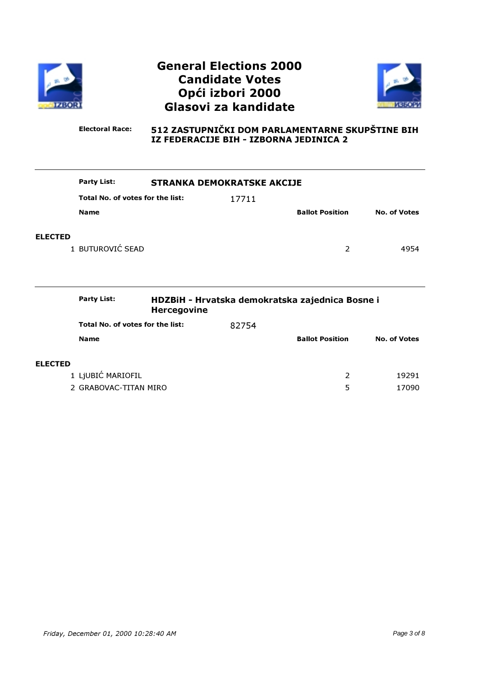



Electoral Race:

| <b>Party List:</b>               | <b>STRANKA DEMOKRATSKE AKCIJE</b> |                        |                     |  |  |
|----------------------------------|-----------------------------------|------------------------|---------------------|--|--|
| Total No. of votes for the list: |                                   | 17711                  |                     |  |  |
| <b>Name</b>                      |                                   | <b>Ballot Position</b> | <b>No. of Votes</b> |  |  |
| <b>ELECTED</b>                   |                                   |                        |                     |  |  |
| 1 BUTUROVIĆ SEAD                 |                                   | 2                      | 4954                |  |  |
|                                  |                                   |                        |                     |  |  |

| <b>Party List:</b>               | HDZBiH - Hrvatska demokratska zajednica Bosne i<br><b>Hercegovine</b> |       |                        |                     |  |
|----------------------------------|-----------------------------------------------------------------------|-------|------------------------|---------------------|--|
| Total No. of votes for the list: |                                                                       | 82754 |                        |                     |  |
| <b>Name</b>                      |                                                                       |       | <b>Ballot Position</b> | <b>No. of Votes</b> |  |
| <b>ELECTED</b>                   |                                                                       |       |                        |                     |  |
| 1 LjUBIĆ MARIOFIL                |                                                                       |       | 2                      | 19291               |  |
| 2 GRABOVAC-TITAN MIRO            |                                                                       |       | 5                      | 17090               |  |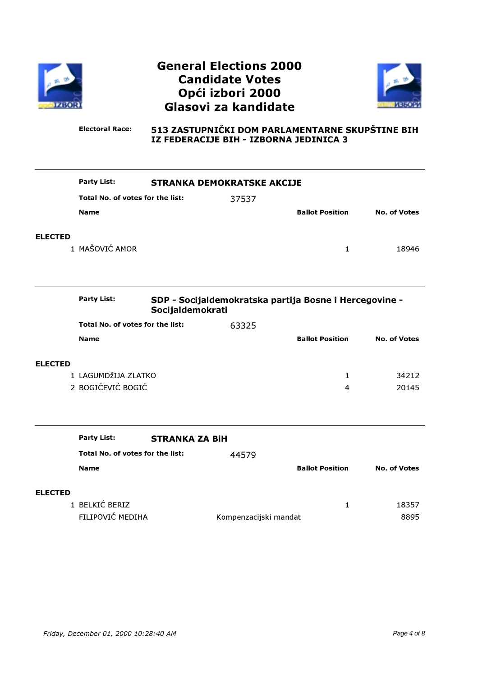



Electoral Race:

| <b>Party List:</b>               | <b>STRANKA DEMOKRATSKE AKCIJE</b> |                        |              |  |
|----------------------------------|-----------------------------------|------------------------|--------------|--|
| Total No. of votes for the list: | 37537                             |                        |              |  |
| <b>Name</b>                      |                                   | <b>Ballot Position</b> | No. of Votes |  |
|                                  |                                   |                        |              |  |
| <b>ELECTED</b><br>1 MAŠOVIĆ AMOR |                                   | 1                      | 18946        |  |

|                | <b>Party List:</b>                       | SDP - Socijaldemokratska partija Bosne i Hercegovine -<br>Socijaldemokrati |       |                        |                     |  |
|----------------|------------------------------------------|----------------------------------------------------------------------------|-------|------------------------|---------------------|--|
|                | Total No. of votes for the list:         |                                                                            | 63325 |                        |                     |  |
|                | <b>Name</b>                              |                                                                            |       | <b>Ballot Position</b> | <b>No. of Votes</b> |  |
| <b>ELECTED</b> | 1 LAGUMDŽIJA ZLATKO<br>2 BOGIĆEVIĆ BOGIĆ |                                                                            |       | 1<br>4                 | 34212<br>20145      |  |

|                | <b>Party List:</b>               | <b>STRANKA ZA BiH</b> |                       |                        |                     |
|----------------|----------------------------------|-----------------------|-----------------------|------------------------|---------------------|
|                | Total No. of votes for the list: |                       | 44579                 |                        |                     |
|                | <b>Name</b>                      |                       |                       | <b>Ballot Position</b> | <b>No. of Votes</b> |
|                |                                  |                       |                       |                        |                     |
| <b>ELECTED</b> |                                  |                       |                       |                        |                     |
|                | 1 BELKIĆ BERIZ                   |                       |                       |                        | 18357               |
|                | FILIPOVIĆ MEDIHA                 |                       | Kompenzacijski mandat |                        | 8895                |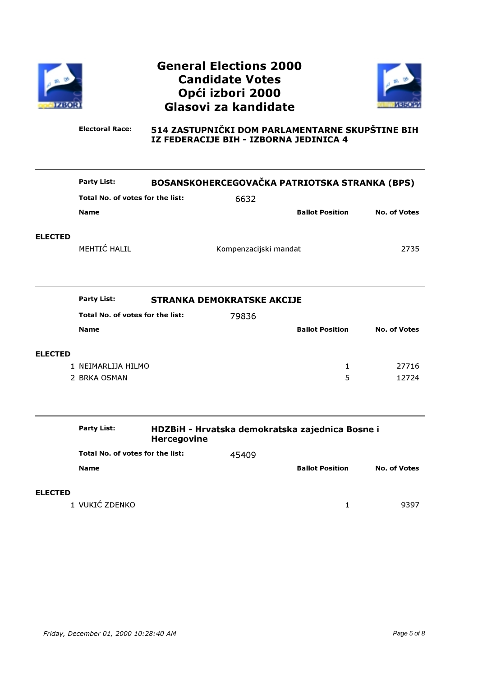



Electoral Race:

|                | <b>Party List:</b>               | BOSANSKOHERCEGOVAČKA PATRIOTSKA STRANKA (BPS) |                        |                     |
|----------------|----------------------------------|-----------------------------------------------|------------------------|---------------------|
|                | Total No. of votes for the list: | 6632                                          |                        |                     |
|                | <b>Name</b>                      |                                               | <b>Ballot Position</b> | <b>No. of Votes</b> |
| <b>ELECTED</b> | MEHTIĆ HALIL                     | Kompenzacijski mandat                         |                        | 2735                |
|                | <b>Party List:</b>               | <b>STRANKA DEMOKRATSKE AKCIJE</b>             |                        |                     |
|                | Total No. of votes for the list: | 79836                                         |                        |                     |
|                | <b>Name</b>                      |                                               | <b>Ballot Position</b> | <b>No. of Votes</b> |
| <b>ELECTED</b> |                                  |                                               |                        |                     |
|                | 1 NEIMARLIJA HILMO               |                                               | 1                      | 27716               |
|                | 2 BRKA OSMAN                     |                                               | 5                      | 12724               |
|                |                                  |                                               |                        |                     |

|                | <b>Party List:</b>               | HDZBiH - Hrvatska demokratska zajednica Bosne i<br><b>Hercegovine</b> |       |                        |                     |
|----------------|----------------------------------|-----------------------------------------------------------------------|-------|------------------------|---------------------|
|                | Total No. of votes for the list: |                                                                       | 45409 |                        |                     |
|                | <b>Name</b>                      |                                                                       |       | <b>Ballot Position</b> | <b>No. of Votes</b> |
| <b>ELECTED</b> | 1 VUKIĆ ZDENKO                   |                                                                       |       |                        | 9397                |
|                |                                  |                                                                       |       |                        |                     |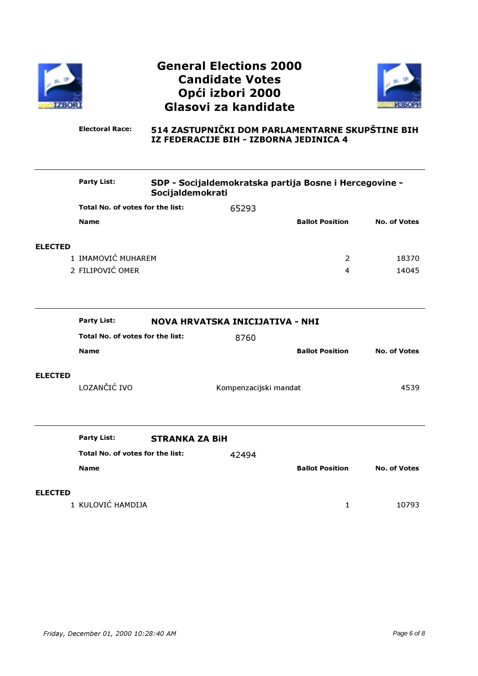



Electoral Race:

|                | <b>Party List:</b><br>SDP - Socijaldemokratska partija Bosne i Hercegovine -<br>Socijaldemokrati |                       |                       |                        |                     |  |  |  |
|----------------|--------------------------------------------------------------------------------------------------|-----------------------|-----------------------|------------------------|---------------------|--|--|--|
|                | Total No. of votes for the list:                                                                 |                       | 65293                 |                        |                     |  |  |  |
|                | <b>Name</b>                                                                                      |                       |                       | <b>Ballot Position</b> | <b>No. of Votes</b> |  |  |  |
| <b>ELECTED</b> | 1 IMAMOVIĆ MUHAREM                                                                               |                       |                       | 2                      | 18370               |  |  |  |
|                | 2 FILIPOVIĆ OMER                                                                                 |                       |                       | $\overline{4}$         | 14045               |  |  |  |
|                |                                                                                                  |                       |                       |                        |                     |  |  |  |
|                | <b>Party List:</b><br>NOVA HRVATSKA INICIJATIVA - NHI                                            |                       |                       |                        |                     |  |  |  |
|                | Total No. of votes for the list:                                                                 |                       | 8760                  |                        |                     |  |  |  |
|                | <b>Name</b>                                                                                      |                       |                       | <b>Ballot Position</b> | <b>No. of Votes</b> |  |  |  |
| <b>ELECTED</b> | LOZANČIĆ IVO                                                                                     |                       | Kompenzacijski mandat |                        | 4539                |  |  |  |
|                | <b>Party List:</b>                                                                               | <b>STRANKA ZA BiH</b> |                       |                        |                     |  |  |  |
|                | Total No. of votes for the list:                                                                 |                       | 42494                 |                        |                     |  |  |  |
|                | <b>Name</b>                                                                                      |                       |                       | <b>Ballot Position</b> | <b>No. of Votes</b> |  |  |  |
| <b>ELECTED</b> |                                                                                                  |                       |                       |                        |                     |  |  |  |
|                | 1 KULOVIĆ HAMDIJA                                                                                |                       |                       | 1                      | 10793               |  |  |  |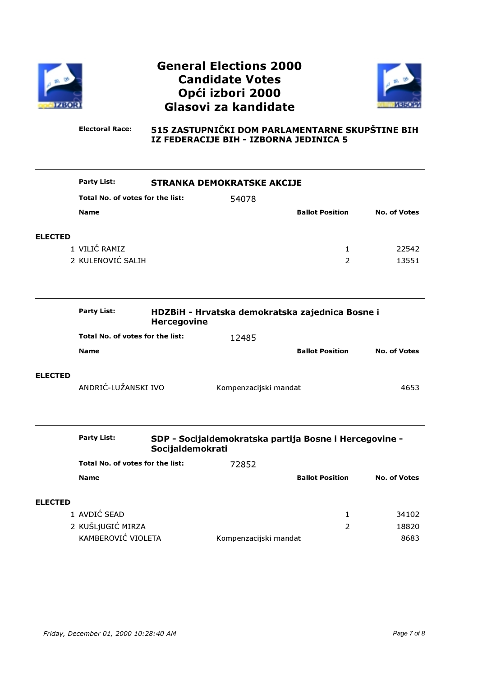



Electoral Race:

|                | <b>Party List:</b>               | <b>STRANKA DEMOKRATSKE AKCIJE</b> |       |                        |                     |  |
|----------------|----------------------------------|-----------------------------------|-------|------------------------|---------------------|--|
|                | Total No. of votes for the list: |                                   | 54078 |                        |                     |  |
|                | <b>Name</b>                      |                                   |       | <b>Ballot Position</b> | <b>No. of Votes</b> |  |
| <b>ELECTED</b> |                                  |                                   |       |                        |                     |  |
|                | 1 VILIĆ RAMIZ                    |                                   |       | 1                      | 22542               |  |
|                | 2 KULENOVIĆ SALIH                |                                   |       | 2                      | 13551               |  |

|                | <b>Party List:</b>                      | HDZBiH - Hrvatska demokratska zajednica Bosne i<br><b>Hercegovine</b> |                                                        |                        |                     |  |  |
|----------------|-----------------------------------------|-----------------------------------------------------------------------|--------------------------------------------------------|------------------------|---------------------|--|--|
|                | Total No. of votes for the list:        |                                                                       | 12485                                                  |                        |                     |  |  |
|                | <b>Name</b>                             |                                                                       |                                                        | <b>Ballot Position</b> | <b>No. of Votes</b> |  |  |
| <b>ELECTED</b> | ANDRIĆ-LUŽANSKI IVO                     |                                                                       | Kompenzacijski mandat                                  |                        | 4653                |  |  |
|                |                                         |                                                                       |                                                        |                        |                     |  |  |
|                | <b>Party List:</b>                      | Socijaldemokrati                                                      | SDP - Socijaldemokratska partija Bosne i Hercegovine - |                        |                     |  |  |
|                | Total No. of votes for the list:        |                                                                       | 72852                                                  |                        |                     |  |  |
|                | <b>Name</b>                             |                                                                       |                                                        | <b>Ballot Position</b> | <b>No. of Votes</b> |  |  |
| <b>ELECTED</b> |                                         |                                                                       |                                                        |                        |                     |  |  |
|                | 1 AVDIĆ SEAD                            |                                                                       |                                                        | 1                      | 34102               |  |  |
|                | 2 KUŠLJUGIĆ MIRZA<br>KAMBEROVIĆ VIOLETA |                                                                       |                                                        | $\mathcal{P}$          | 18820               |  |  |